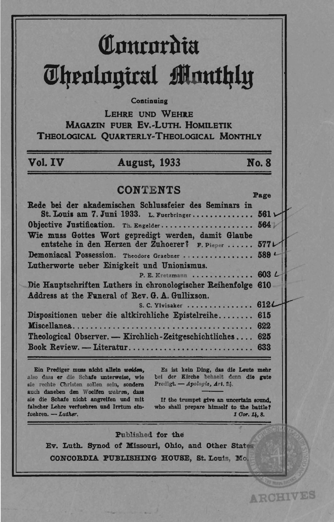# Concordia **Theological Monthly**

Continuing

LEHRE UND WEHRE **MAGAZIN FUER EV.-LUTH. HOMILETIK** THEOLOGICAL OUARTERLY-THEOLOGICAL MONTHLY

# Vol. IV

## **August, 1933**

**No. 8** 

# **CONTENTS**

Page Rede bei der akademischen Schlussfeier des Seminars in St. Louis am 7. Juni 1933. L. Fuerbringer.............. 561 \ Objective Justification. Th. Engelder...................... 564 Wie muss Gottes Wort gepredigt werden, damit Glaube entstehe in den Herzen der Zuhoerer? F. Pieper ......  $577L$ Demoniacal Possession. Theodore Graebner .......  $589$  $\cdots$ Lutherworte ueber Einigkeit und Unionismus.  $.603L$ P. E. Kretzmann ..... Die Hauptschriften Luthers in chronologischer Reihenfolge 610 Address at the Funeral of Rev. G. A. Gullixson. 612L S. C. Ylvisaker ............. Dispositionen ueber die altkirchliche Epistelreihe........ 615 Miscellanea.......................... . . . . . . . . 622 Theological Observer. - Kirchlich-Zeitgeschichtliches.... 625 

Ein Prediger muss nicht allein weiden, also dass er die Schafe unterweise, wie sie rechte Christen sollen sein, sondern auch daneben den Woelfen wehren, dass sie die Schafe nicht angreifen und mit falscher Lehre verfuehren und Irrtum einfuehren. - Luther.

Es ist kein Ding, das die Leute mehr bei der Kirche behaelt denn die gute Predigt. - Apologie, Art. 24.

If the trumpet give an uncertain sound. who shall prepare himself to the battle? 1 Cor. 14, 8.

**ARCHIVES** 

#### Published for the

Ev. Luth. Synod of Missouri, Ohio, and Other States CONCORDIA PUBLISHING HOUSE, St. Louis, Mo.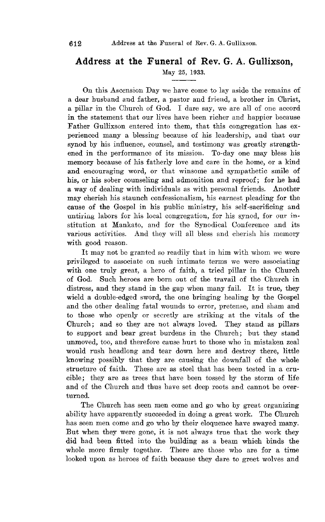### **Address at the Funeral of Rev. G. A. Gullixson,**

May 25, 1933.

On this Ascension Day we have come to lay aside the remains of a dear husband and father, a pastor and friend, a brother in Ohrist, a pillar in the Church of God. I dare say, we are all of one accord in the statement that our lives have been richer and happier because Father Gullixson entered into them, that this congregation has experienced many a blessing- because of his leadership, and that our synod by his influence, counsel, and testimony was greatly strengthened in the performance of its mission. To-day one may bless his memory because of his fatherly love and care in the home, or a kind and encouraging word, or that winsome and sympathetic smile of his, or his sober counseling and admonition and reproof; for he had a way of dealing with individuals as with personal friends. Another may cherish his staunch confessionalism, his earnest pleading for the cause of the Gospel in his public ministry, his sel£-sacrincing and untiring labors for his local congregation, for his synod, for our institution at Mankato, and for the Synodical Oonference and its various activities. And they will all bless and cherish his memory with good reason.

It may not be granted so readily that in him with whom we were privileged to associate on such intimate terms we were associating with one truly great, a hero of faith, a tried pillar in the Ohurch of God. Such heroes are born out of the travail of the Ohurch in distress, and they stand in the gap when many fail. It is true, they wield a double-edged sword, the one bringing healing by the Gospel and the other dealing fatal wounds to error, pretense, and sham and to those who openly or secretly are striking' at the vitals of the Ohurch; and so they are not always loved. They stand as pillars to support and bear great burdens in the Ohurch; but they stand unmoved, too, and therefore cause hurt to those who in mistaken zeal would rush headlong and tear down here and destroy there, little knowing possibly that they are causing the downfall of the whole structure of faith. These are as steel that has been tested in a crucible; they are as trees that have been tossed by the storm of life and of the Ohurch and thus have set deep roots and cannot be overturned.

The Ohurch has seen men come and go who by great organizing ability have apparently succeeded in doing a great work. The Ohurch has seen men come and go who by their eloquence have swayed many. But when they were gone, it is not always true that the work they did had been fitted into the building as a beam which binds the whole more firmly together. There are those who are for a time looked upon as heroes of faith because they dare to greet wolves and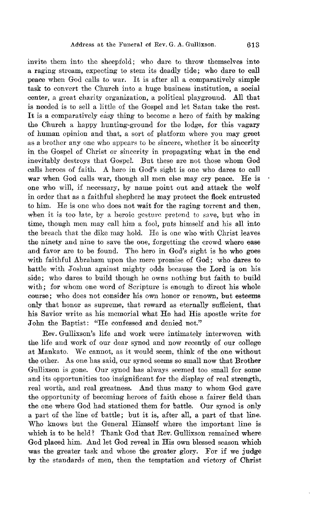invite them into the sheepfold; who dare to throw themselves into a raging stream, expecting to stem its deadly tide; who dare to call peace when God calls to war. It is after all a comparatively simple task to convert the Ohurch into a huge business institution, a social center, a great eharity organization, a political playground. All that is needed is to sell a little of the Gospel and let Satan take the rest. It is a comparatively easy thing to become a hero of faith by making the Ohurch a happy hunting-ground for the lodge, for this vagary of human opinion and that, a sort of platform where you may greet as a brother anyone who appears to be sincere, whether it be sincerity in the Gospel of Christ or sincerity in propagating what in the end inevitably destroys that Gospel. But these are not those whom God calls heroes of faith. A hero in God's sight is one who dares to call war when God calls war, though all men else may cry peace. He is one who will, if necessary, by name point out and attack the wolf in order that as a faithful shepherd he may protect the flock entrusted to him. He is one who does not wait for the raging torrent and then, when it is too late, by a heroic gesture pretend to save, but who in time, though men may call him a fool, puts himself and his all into the breach that the dike may hold. He is one who with Christ leaves the ninety and nine to save the one, forgetting the crowd where ease and favor are to be found. The hero in God's sight is he who goes with faithful Abraham upon the mere promise of God; who dares to battle with Joshua against mighty odds because the Lord is on his side; who dares to build though he owns nothing but faith to build with; for whom one word of Scripture is enough to direct his whole course; who does not consider his own honor or renown, but esteems only that honor as supreme, that reward as eternally sufficient, that his Savior write as his memorial what He had His apostle write for John the Baptist: "He confessed and denied not."

*Rev.* Gullixson's life and work were intimately interwoven with the life and work of our dear synod and now recently of our college at Mankato. We cannot, as it would seem, think of the one without the other. As one has said, our synod seems so small now that Brother GuIlixson is gone. Our synod has always seemed too small for some and its opportunities too insignificant for the display of real strength, real worth, and real greatness. And thus many to whom God gave the opportunity of becoming heroes of faith chose a fairer field than the one where God had stationed them for battle. Our synod is only a part of the line of battle; but it is, after all, a part of that line. Who knows but the General Himself where the important line is which is to be held? Thank God that Rev. Gullixson remained where God placed him. And let God reveal in His own blessed season which was the greater task and whose the greater glory. For if we judge by the standards of men, then the temptation and victory of Ohrist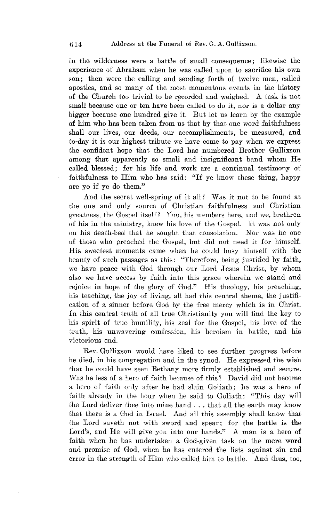in the wilderness were a battle of small consequence; likewise the experience of Abraham when he was called upon to sacrifice his own son; then were the calling and sending forth of twelve men, called apostles, and so many of the most momentous events in the history of the Church too trivial to be recorded and weighed. A task is not small because one or ten have been called to do it, nor is a dollar any bigger because one hundred give it. But let us learn by the example of him who has been taken from us that by that one word faithfulness shall our lives, our deeds, our accomplishments, be measured, and to-day it is our highest tribute we have come to pay when we express the confident hope that the Lord has numbered Brother Gullixson among that apparently so small and insignificant band whom He called blessed; for his life and work are a continual testimony of faithfulness to Him who has said: "If ye know these thing, happy are ye if ye do them."

And the secret well-spring of it all? Was it not to be found at the one and only source of Ohristian faithfulness and Ohristian greatness, the Gospel itself? You, his members here, and we, brethren of his in the ministry, knew his love of the Gospel. It was not only on his death-bed that he sought that consolation. Nor was he one of those who preached the Gospel, but did not need it for himself. His sweetest moments came when he could busy himself with the beauty of such passages as this: "Therefore, being justified by faith, we have peace with God through our Lord Jesus Christ, by whom also we have access by faith into this grace wherein we stand and rejoice in hope of the glory of God." His theology, his preaching, his teaching, the joy of living, all had this central theme, the justification of a sinner before God by the free mercy which is in Christ. In this central truth of all true Ohristianity you will find the key to his spirit of true humility, his zeal for the Gospel, his love of the truth, his unwavering confession, his heroism in battle, and his victorious end.

Rev. Gullixson would have liked to see further progress before he died, in his congregation and in the synod. He expressed the wish that he could have seen Bethany more firmly established and secure. Was he less of a hero of faith because of this? David did not become a hero of faith only after he had slain Goliath; he was a hero of faith already in the hour when he said to Goliath: "This day will the Lord deliver thee into mine hand ... that all the earth may know that there is a God in Israel. And all this assembly shall know that the Lord saveth not with sword and spear; for the battle is the Lord's, and He will give you into our hands." A man is a hero of faith when he has undertaken a God-given task on the mere word and promise of God, when he has entered the lists against sin and error in the strength of Him who called him to battle. And thus, too,